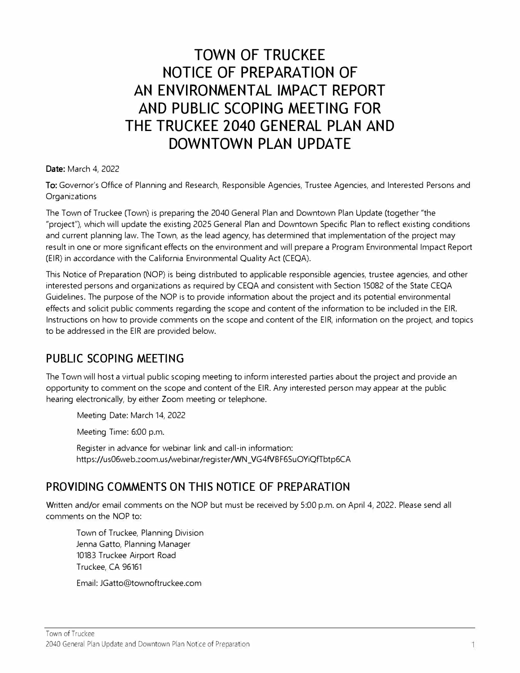# **TOWN OF TRUCKEE NOTICE OF PREPARATION OF AN ENVIRONMENTAL IMPACT REPORT AND PUBLIC SCOPING MEETING FOR THE TRUCKEE 2040 GENERAL PLAN AND DOWNTOWN PLAN UPDATE**

**Date:** March 4, 2022

To: Governor's Office of Planning and Research, Responsible Agencies, Trustee Agencies, and Interested Persons and **Organizations** 

The Town of Truckee (Town) is preparing the 2040 General Plan and Downtown Plan Update (together "the "project"), which will update the existing 2025 General Plan and Downtown Specific Plan to reflect existing conditions and current planning law. The Town, as the lead agency, has determined that implementation of the project may result in one or more significant effects on the environment and will prepare a Program Environmental Impact Report (EIR) in accordance with the California Environmental Quality Act (CEQA).

This Notice of Preparation (NOP) is being distributed to applicable responsible agencies, trustee agencies, and other interested persons and organizations as required by CEQA and consistent with Section 15082 of the State CEQA Guidelines. The purpose of the NOP is to provide information about the project and its potential environmental effects and solicit public comments regarding the scope and content of the information to be included in the EIR. Instructions on how to provide comments on the scope and content of the EIR, information on the project, and topics to be addressed in the EIR are provided below.

### **PUBLIC SCOPING MEETING**

The Town will host a virtual public scoping meeting to inform interested parties about the project and provide an opportunity to comment on the scope and content of the EIR. Any interested person may appear at the public hearing electronically, by either Zoom meeting or telephone.

Meeting Date: March 14, 2022

Meeting Time: 6:00 p.m.

Register in advance for webinar link and call-in information: https://us06web.zoom.us/webinar/register/WN\_VG4fVBF6SuOYiQfTbtp6CA

### **PROVIDING COMMENTS ON THIS NOTICE OF PREPARATION**

Written and/or email comments on the NOP but must be received by 5:00 p.m. on April 4, 2022. Please send all comments on the NOP to:

Town of Truckee, Planning Division Jenna Gatto, Planning Manager 10183 Truckee Airport Road Truckee, CA 96161

Email: JGatto@townoftruckee.com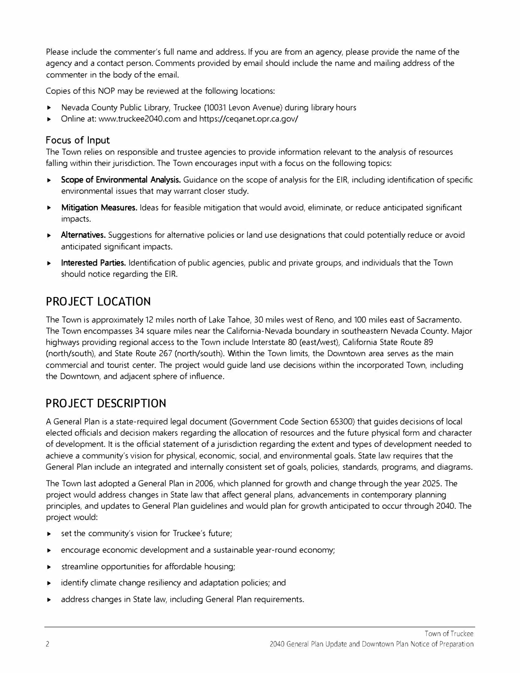Please include the commenter's full name and address. If you are from an agency, please provide the name of the agency and a contact person. Comments provided by email should include the name and mailing address of the commenter in the body of the email.

Copies of this NOP may be reviewed at the following locations:

- ► Nevada County Public Library, Truckee (10031 Levon Avenue) during library hours
- ► Online at: www.truckee2040.com and https://ceqanet.opr.ca.gov/

#### **Focus of Input**

The Town relies on responsible and trustee agencies to provide information relevant to the analysis of resources falling within their jurisdiction. The Town encourages input with a focus on the following topics:

- ► **Scope of Environmental Analysis.** Guidance on the scope of analysis for the EIR, including identification of specific environmental issues that may warrant closer study.
- ► **Mitigation Measures.** Ideas for feasible mitigation that would avoid, eliminate, or reduce anticipated significant impacts.
- Alternatives. Suggestions for alternative policies or land use designations that could potentially reduce or avoid anticipated significant impacts.
- ► **Interested Parties.** Identification of public agencies, public and private groups, and individuals that the Town should notice regarding the EIR.

### **PROJECT LOCATION**

The Town is approximately 12 miles north of Lake Tahoe, 30 miles west of Reno, and 100 miles east of Sacramento. The Town encompasses 34 square miles near the California-Nevada boundary in southeastern Nevada County. Major highways providing regional access to the Town include Interstate 80 (east/west), California State Route 89 (north/south), and State Route 267 (north/south). Within the Town limits, the Downtown area serves as the main commercial and tourist center. The project would guide land use decisions within the incorporated Town, including the Downtown, and adjacent sphere of influence.

### **PROJECT DESCRIPTION**

A General Plan is a state-required legal document (Government Code Section 65300) that guides decisions of local elected officials and decision makers regarding the allocation of resources and the future physical form and character of development. It is the official statement of a jurisdiction regarding the extent and types of development needed to achieve a community's vision for physical, economic, social, and environmental goals. State law requires that the General Plan include an integrated and internally consistent set of goals, policies, standards, programs, and diagrams.

The Town last adopted a General Plan in 2006, which planned for growth and change through the year 2025. The project would address changes in State law that affect general plans, advancements in contemporary planning principles, and updates to General Plan guidelines and would plan for growth anticipated to occur through 2040. The project would:

- set the community's vision for Truckee's future;
- encourage economic development and a sustainable year-round economy;
- streamline opportunities for affordable housing;
- identify climate change resiliency and adaptation policies; and
- address changes in State law, including General Plan requirements.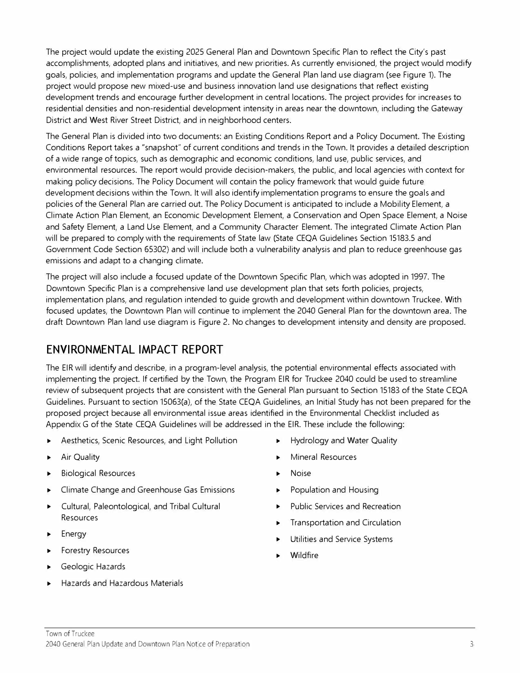The project would update the existing 2025 General Plan and Downtown Specific Plan to reflect the City's past accomplishments, adopted plans and initiatives, and new priorities. As currently envisioned, the project would modify goals, policies, and implementation programs and update the General Plan land use diagram (see Figure 1). The project would propose new mixed-use and business innovation land use designations that reflect existing development trends and encourage further development in central locations. The project provides for increases to residential densities and non-residential development intensity in areas near the downtown, including the Gateway District and West River Street District, and in neighborhood centers.

The General Plan is divided into two documents: an Existing Conditions Report and a Policy Document. The Existing Conditions Report takes a "snapshot" of current conditions and trends in the Town. It provides a detailed description of a wide range of topics, such as demographic and economic conditions, land use, public services, and environmental resources. The report would provide decision-makers, the public, and local agencies with context for making policy decisions. The Policy Document will contain the policy framework that would guide future development decisions within the Town. It will also identify implementation programs to ensure the goals and policies of the General Plan are carried out. The Policy Document is anticipated to include a Mobility Element, a Climate Action Plan Element, an Economic Development Element, a Conservation and Open Space Element, a Noise and Safety Element, a Land Use Element, and a Community Character Element. The integrated Climate Action Plan will be prepared to comply with the requirements of State law (State CEQA Guidelines Section 15183.5 and Government Code Section 65302) and will include both a vulnerability analysis and plan to reduce greenhouse gas emissions and adapt to a changing climate.

The project will also include a focused update of the Downtown Specific Plan, which was adopted in 1997. The Downtown Specific Plan is a comprehensive land use development plan that sets forth policies, projects, implementation plans, and regulation intended to guide growth and development within downtown Truckee. With focused updates, the Downtown Plan will continue to implement the 2040 General Plan for the downtown area. The draft Downtown Plan land use diagram is Figure 2. No changes to development intensity and density are proposed.

## **ENVIRONMENTAL IMPACT REPORT**

The EIR will identify and describe, in a program-level analysis, the potential environmental effects associated with implementing the project. If certified by the Town, the Program EIR for Truckee 2040 could be used to streamline review of subsequent projects that are consistent with the General Plan pursuant to Section 15183 of the State CEQA Guidelines. Pursuant to section 15063(a), of the State CEQA Guidelines, an Initial Study has not been prepared for the proposed project because all environmental issue areas identified in the Environmental Checklist included as Appendix G of the State CEQA Guidelines will be addressed in the EIR. These include the following:

- Aesthetics, Scenic Resources, and Light Pollution
- Air Quality
- ► Biological Resources
- ► Climate Change and Greenhouse Gas Emissions
- ► Cultural, Paleontological, and Tribal Cultural Resources
- **Energy**
- ► Forestry Resources
- Geologic Hazards
- ► Hazards and Hazardous Materials
- ► Hydrology and Water Quality
- ► Mineral Resources
- ► Noise
- ► Population and Housing
- ► Public Services and Recreation
- Transportation and Circulation
- Utilities and Service Systems
- **Wildfire**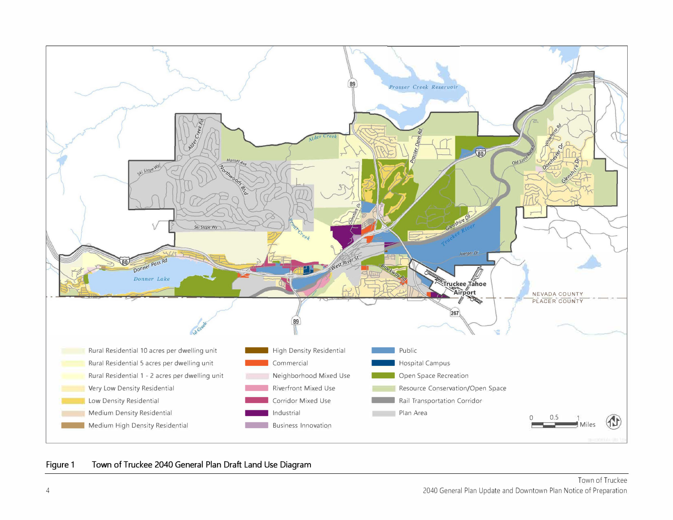

#### Figure 1 Town of Truckee 2040 General Plan Draft Land Use Diagram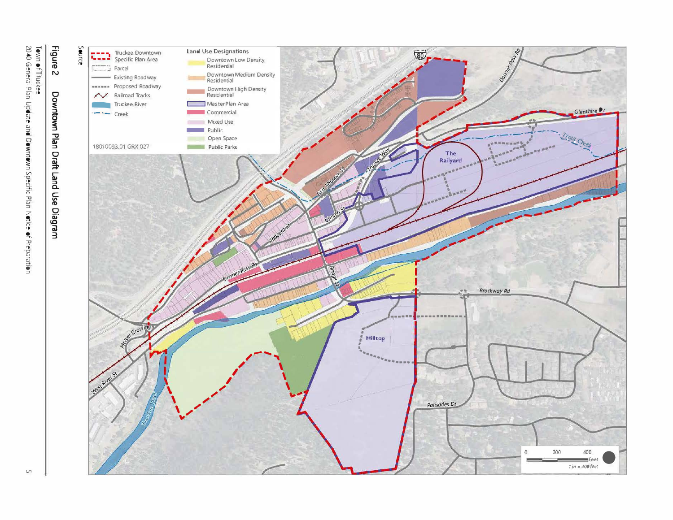

Town of Truckee<br>2040 General Plan Update and Downtown Specific Plan Notice of Preparation

 $\cup$